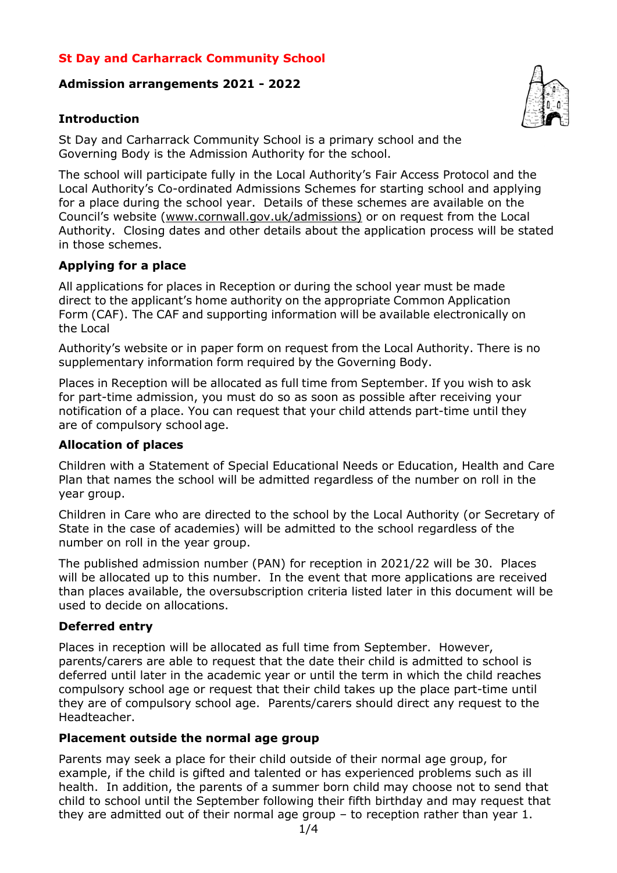## **St Day and Carharrack Community School**

### **Admission arrangements 2021 - 2022**

## **Introduction**



The school will participate fully in the Local Authority's Fair Access Protocol and the Local Authority's Co-ordinated Admissions Schemes for starting school and applying for a place during the school year. Details of these schemes are available on the Council's website (www.cornwall.gov.uk/admissions) or on request from the Local Authority. Closing dates and other details about the application process will be stated in those schemes.

### **Applying for a place**

All applications for places in Reception or during the school year must be made direct to the applicant's home authority on the appropriate Common Application Form (CAF). The CAF and supporting information will be available electronically on the Local

Authority's website or in paper form on request from the Local Authority. There is no supplementary information form required by the Governing Body.

Places in Reception will be allocated as full time from September. If you wish to ask for part-time admission, you must do so as soon as possible after receiving your notification of a place. You can request that your child attends part-time until they are of compulsory school age.

#### **Allocation of places**

Children with a Statement of Special Educational Needs or Education, Health and Care Plan that names the school will be admitted regardless of the number on roll in the year group.

Children in Care who are directed to the school by the Local Authority (or Secretary of State in the case of academies) will be admitted to the school regardless of the number on roll in the year group.

The published admission number (PAN) for reception in 2021/22 will be 30. Places will be allocated up to this number. In the event that more applications are received than places available, the oversubscription criteria listed later in this document will be used to decide on allocations.

#### **Deferred entry**

Places in reception will be allocated as full time from September. However, parents/carers are able to request that the date their child is admitted to school is deferred until later in the academic year or until the term in which the child reaches compulsory school age or request that their child takes up the place part-time until they are of compulsory school age. Parents/carers should direct any request to the Headteacher.

#### **Placement outside the normal age group**

Parents may seek a place for their child outside of their normal age group, for example, if the child is gifted and talented or has experienced problems such as ill health. In addition, the parents of a summer born child may choose not to send that child to school until the September following their fifth birthday and may request that they are admitted out of their normal age group – to reception rather than year 1.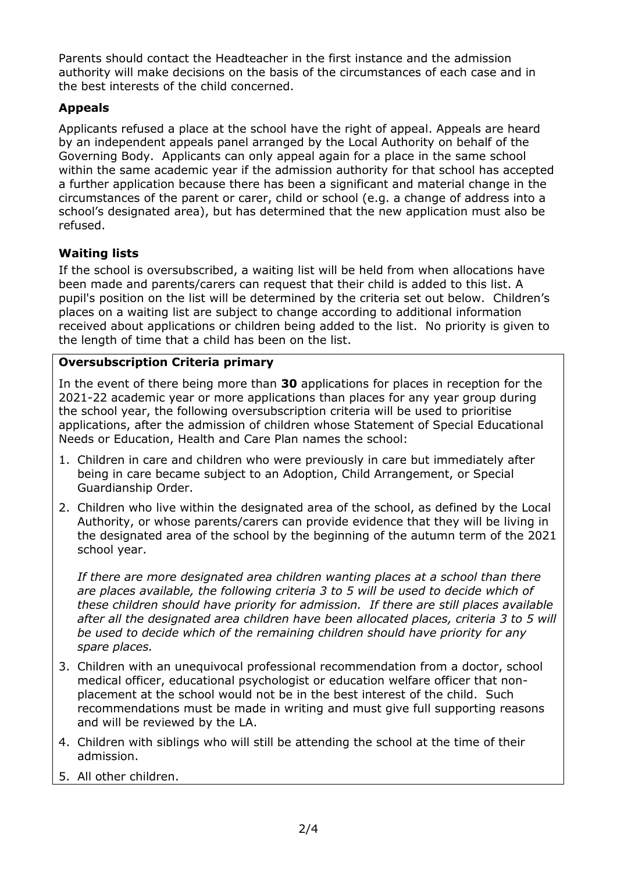Parents should contact the Headteacher in the first instance and the admission authority will make decisions on the basis of the circumstances of each case and in the best interests of the child concerned.

# **Appeals**

Applicants refused a place at the school have the right of appeal. Appeals are heard by an independent appeals panel arranged by the Local Authority on behalf of the Governing Body. Applicants can only appeal again for a place in the same school within the same academic year if the admission authority for that school has accepted a further application because there has been a significant and material change in the circumstances of the parent or carer, child or school (e.g. a change of address into a school's designated area), but has determined that the new application must also be refused.

# **Waiting lists**

If the school is oversubscribed, a waiting list will be held from when allocations have been made and parents/carers can request that their child is added to this list. A pupil's position on the list will be determined by the criteria set out below. Children's places on a waiting list are subject to change according to additional information received about applications or children being added to the list. No priority is given to the length of time that a child has been on the list.

# **Oversubscription Criteria primary**

In the event of there being more than **30** applications for places in reception for the 2021-22 academic year or more applications than places for any year group during the school year, the following oversubscription criteria will be used to prioritise applications, after the admission of children whose Statement of Special Educational Needs or Education, Health and Care Plan names the school:

- 1. Children in care and children who were previously in care but immediately after being in care became subject to an Adoption, Child Arrangement, or Special Guardianship Order.
- 2. Children who live within the designated area of the school, as defined by the Local Authority, or whose parents/carers can provide evidence that they will be living in the designated area of the school by the beginning of the autumn term of the 2021 school year.

*If there are more designated area children wanting places at a school than there are places available, the following criteria 3 to 5 will be used to decide which of these children should have priority for admission. If there are still places available after all the designated area children have been allocated places, criteria 3 to 5 will be used to decide which of the remaining children should have priority for any spare places.*

- 3. Children with an unequivocal professional recommendation from a doctor, school medical officer, educational psychologist or education welfare officer that nonplacement at the school would not be in the best interest of the child. Such recommendations must be made in writing and must give full supporting reasons and will be reviewed by the LA.
- 4. Children with siblings who will still be attending the school at the time of their admission.
- 5. All other children.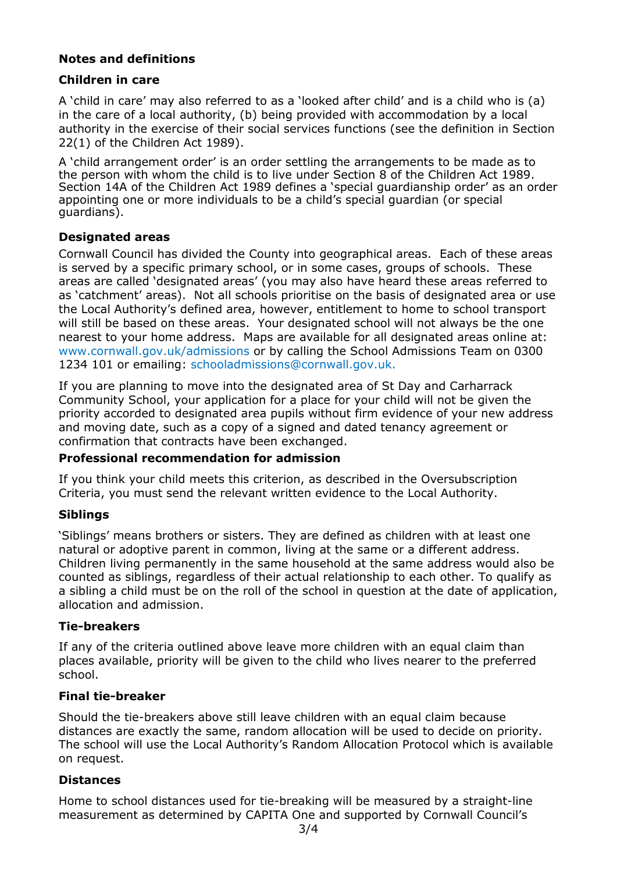## **Notes and definitions**

## **Children in care**

A 'child in care' may also referred to as a 'looked after child' and is a child who is (a) in the care of a local authority, (b) being provided with accommodation by a local authority in the exercise of their social services functions (see the definition in Section 22(1) of the Children Act 1989).

A 'child arrangement order' is an order settling the arrangements to be made as to the person with whom the child is to live under Section 8 of the Children Act 1989. Section 14A of the Children Act 1989 defines a 'special guardianship order' as an order appointing one or more individuals to be a child's special guardian (or special guardians).

## **Designated areas**

Cornwall Council has divided the County into geographical areas. Each of these areas is served by a specific primary school, or in some cases, groups of schools. These areas are called 'designated areas' (you may also have heard these areas referred to as 'catchment' areas). Not all schools prioritise on the basis of designated area or use the Local Authority's defined area, however, entitlement to home to school transport will still be based on these areas. Your designated school will not always be the one nearest to your home address. Maps are available for all designated areas online at: www.cornwall.gov.uk/admissions or by calling the School Admissions Team on 0300 1234 101 or emailing: schooladmissions@cornwall.gov.uk.

If you are planning to move into the designated area of St Day and Carharrack Community School, your application for a place for your child will not be given the priority accorded to designated area pupils without firm evidence of your new address and moving date, such as a copy of a signed and dated tenancy agreement or confirmation that contracts have been exchanged.

## **Professional recommendation for admission**

If you think your child meets this criterion, as described in the Oversubscription Criteria, you must send the relevant written evidence to the Local Authority.

## **Siblings**

'Siblings' means brothers or sisters. They are defined as children with at least one natural or adoptive parent in common, living at the same or a different address. Children living permanently in the same household at the same address would also be counted as siblings, regardless of their actual relationship to each other. To qualify as a sibling a child must be on the roll of the school in question at the date of application, allocation and admission.

## **Tie-breakers**

If any of the criteria outlined above leave more children with an equal claim than places available, priority will be given to the child who lives nearer to the preferred school.

## **Final tie-breaker**

Should the tie-breakers above still leave children with an equal claim because distances are exactly the same, random allocation will be used to decide on priority. The school will use the Local Authority's Random Allocation Protocol which is available on request.

## **Distances**

Home to school distances used for tie-breaking will be measured by a straight-line measurement as determined by CAPITA One and supported by Cornwall Council's